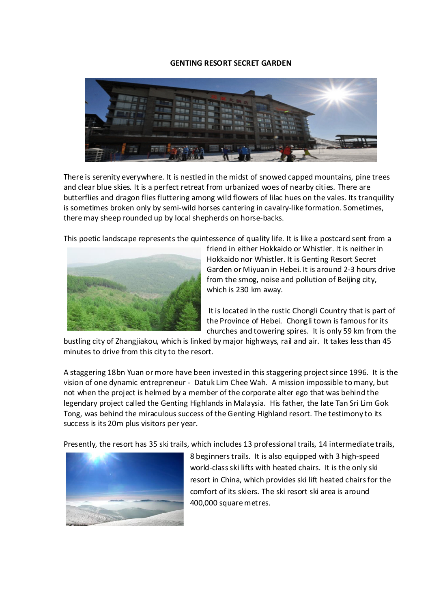## GENTING RESORT SECRET GARDEN



There is serenity everywhere. It is nestled in the midst of snowed capped mountains, pine trees and clear blue skies. It is a perfect retreat from urbanized woes of nearby cities. There are butterflies and dragon flies fluttering among wild flowers of lilac hues on the vales. Its tranquility is sometimes broken only by semi-wild horses cantering in cavalry-like formation. Sometimes, there may sheep rounded up by local shepherds on horse-backs.

This poetic landscape represents the quintessence of quality life. It is like a postcard sent from a



friend in either Hokkaido or Whistler. It is neither in Hokkaido nor Whistler. It is Genting Resort Secret Garden or Miyuan in Hebei. It is around 2-3 hours drive from the smog, noise and pollution of Beijing city, which is 230 km away.

 It is located in the rustic Chongli Country that is part of the Province of Hebei. Chongli town is famous for its churches and towering spires. It is only 59 km from the

bustling city of Zhangjiakou, which is linked by major highways, rail and air. It takes less than 45 minutes to drive from this city to the resort.

A staggering 18bn Yuan or more have been invested in this staggering project since 1996. It is the vision of one dynamic entrepreneur - Datuk Lim Chee Wah. A mission impossible to many, but not when the project is helmed by a member of the corporate alter ego that was behind the legendary project called the Genting Highlands in Malaysia. His father, the late Tan Sri Lim Gok Tong, was behind the miraculous success of the Genting Highland resort. The testimony to its success is its 20m plus visitors per year.

Presently, the resort has 35 ski trails, which includes 13 professional trails, 14 intermediate trails,



8 beginners trails. It is also equipped with 3 high-speed world-class ski lifts with heated chairs. It is the only ski resort in China, which provides ski lift heated chairs for the comfort of its skiers. The ski resort ski area is around 400,000 square metres.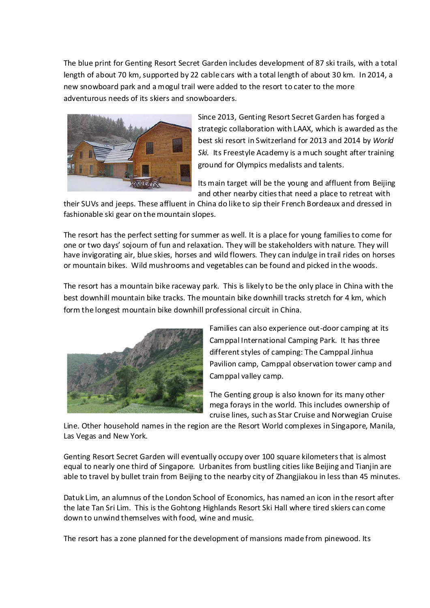The blue print for Genting Resort Secret Garden includes development of 87 ski trails, with a total length of about 70 km, supported by 22 cable cars with a total length of about 30 km. In 2014, a new snowboard park and a mogul trail were added to the resort to cater to the more adventurous needs of its skiers and snowboarders.



Since 2013, Genting Resort Secret Garden has forged a strategic collaboration with LAAX, which is awarded as the best ski resort in Switzerland for 2013 and 2014 by World Ski. Its Freestyle Academy is a much sought after training ground for Olympics medalists and talents.

Its main target will be the young and affluent from Beijing and other nearby cities that need a place to retreat with

their SUVs and jeeps. These affluent in China do like to sip their French Bordeaux and dressed in fashionable ski gear on the mountain slopes.

The resort has the perfect setting for summer as well. It is a place for young families to come for one or two days' sojourn of fun and relaxation. They will be stakeholders with nature. They will have invigorating air, blue skies, horses and wild flowers. They can indulge in trail rides on horses or mountain bikes. Wild mushrooms and vegetables can be found and picked in the woods.

The resort has a mountain bike raceway park. This is likely to be the only place in China with the best downhill mountain bike tracks. The mountain bike downhill tracks stretch for 4 km, which form the longest mountain bike downhill professional circuit in China.



Families can also experience out-door camping at its Camppal International Camping Park. It has three different styles of camping: The Camppal Jinhua Pavilion camp, Camppal observation tower camp and Camppal valley camp.

The Genting group is also known for its many other mega forays in the world. This includes ownership of cruise lines, such as Star Cruise and Norwegian Cruise

Line. Other household names in the region are the Resort World complexes in Singapore, Manila, Las Vegas and New York.

Genting Resort Secret Garden will eventually occupy over 100 square kilometers that is almost equal to nearly one third of Singapore. Urbanites from bustling cities like Beijing and Tianjin are able to travel by bullet train from Beijing to the nearby city of Zhangjiakou in less than 45 minutes.

Datuk Lim, an alumnus of the London School of Economics, has named an icon in the resort after the late Tan Sri Lim. This is the Gohtong Highlands Resort Ski Hall where tired skiers can come down to unwind themselves with food, wine and music.

The resort has a zone planned for the development of mansions made from pinewood. Its